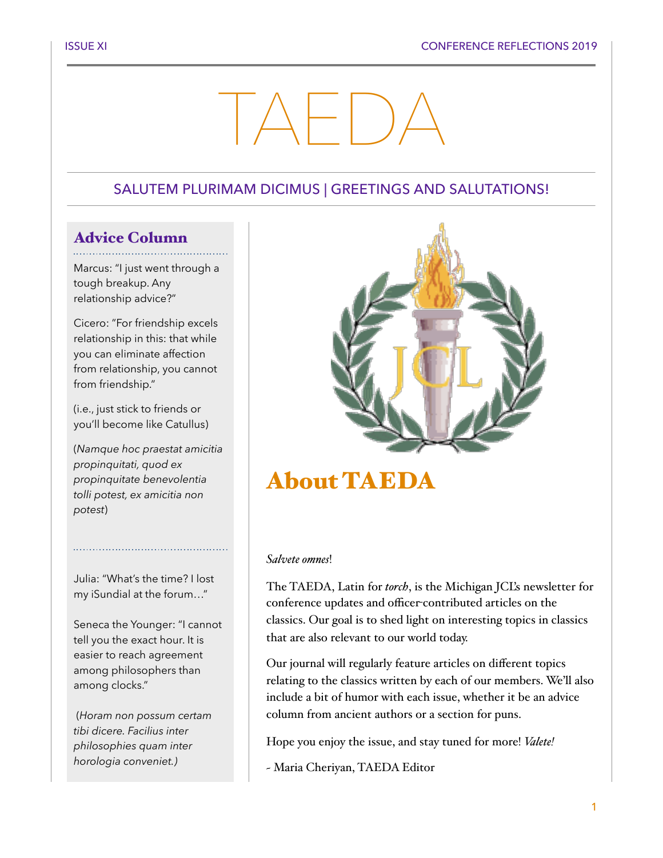# TAEDA

#### SALUTEM PLURIMAM DICIMUS | GREETINGS AND SALUTATIONS!

# Advice Column

Marcus: "I just went through a tough breakup. Any relationship advice?"

Cicero: "For friendship excels relationship in this: that while you can eliminate affection from relationship, you cannot from friendship."

(i.e., just stick to friends or you'll become like Catullus)

(*Namque hoc praestat amicitia propinquitati, quod ex propinquitate benevolentia tolli potest, ex amicitia non potest*)

Julia: "What's the time? I lost my iSundial at the forum…"

Seneca the Younger: "I cannot tell you the exact hour. It is easier to reach agreement among philosophers than among clocks."

 (*Horam non possum certam tibi dicere. Facilius inter philosophies quam inter horologia conveniet.)*



# About TAEDA

#### *Salvete omnes*!

The TAEDA, Latin for *torch*, is the Michigan JCL's newsletter for conference updates and officer-contributed articles on the classics. Our goal is to shed light on interesting topics in classics that are also relevant to our world today.

Our journal will regularly feature articles on different topics relating to the classics written by each of our members. We'll also include a bit of humor with each issue, whether it be an advice column from ancient authors or a section for puns.

Hope you enjoy the issue, and stay tuned for more! *Valete!*

~ Maria Cheriyan, TAEDA Editor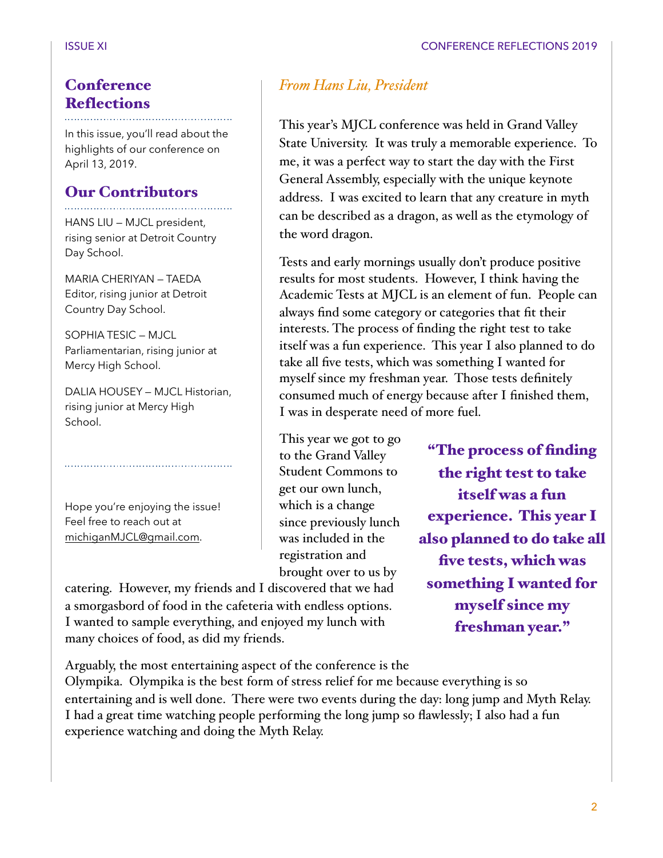#### **Conference Reflections**

In this issue, you'll read about the highlights of our conference on April 13, 2019.

#### Our Contributors

HANS LIU — MJCL president, rising senior at Detroit Country Day School.

MARIA CHERIYAN — TAEDA Editor, rising junior at Detroit Country Day School.

SOPHIA TESIC — MJCL Parliamentarian, rising junior at Mercy High School.

DALIA HOUSEY — MJCL Historian, rising junior at Mercy High School.

Hope you're enjoying the issue! Feel free to reach out at [michiganMJCL@gmail.com](mailto:michiganMJCL@gmail.com).

catering. However, my friends and I discovered that we had a smorgasbord of food in the cafeteria with endless options. I wanted to sample everything, and enjoyed my lunch with many choices of food, as did my friends.

Arguably, the most entertaining aspect of the conference is the

Olympika. Olympika is the best form of stress relief for me because everything is so entertaining and is well done. There were two events during the day: long jump and Myth Relay. I had a great time watching people performing the long jump so flawlessly; I also had a fun experience watching and doing the Myth Relay.

#### *From Hans Liu, President*

This year's MJCL conference was held in Grand Valley State University. It was truly a memorable experience. To me, it was a perfect way to start the day with the First General Assembly, especially with the unique keynote address. I was excited to learn that any creature in myth can be described as a dragon, as well as the etymology of the word dragon.

Tests and early mornings usually don't produce positive results for most students. However, I think having the Academic Tests at MJCL is an element of fun. People can always find some category or categories that fit their interests. The process of finding the right test to take itself was a fun experience. This year I also planned to do take all five tests, which was something I wanted for myself since my freshman year. Those tests definitely consumed much of energy because after I finished them, I was in desperate need of more fuel.

This year we got to go to the Grand Valley Student Commons to get our own lunch, which is a change since previously lunch was included in the registration and brought over to us by

"The process of finding the right test to take itself was a fun experience. This year I also planned to do take all five tests, which was something I wanted for myself since my freshman year."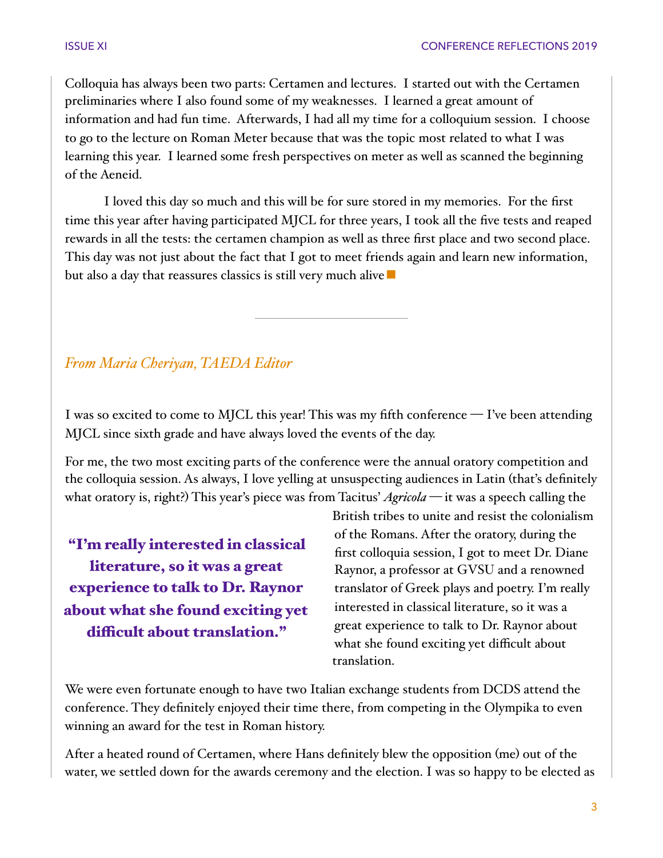Colloquia has always been two parts: Certamen and lectures. I started out with the Certamen preliminaries where I also found some of my weaknesses. I learned a great amount of information and had fun time. Afterwards, I had all my time for a colloquium session. I choose to go to the lecture on Roman Meter because that was the topic most related to what I was learning this year. I learned some fresh perspectives on meter as well as scanned the beginning of the Aeneid.

I loved this day so much and this will be for sure stored in my memories. For the first time this year after having participated MJCL for three years, I took all the five tests and reaped rewards in all the tests: the certamen champion as well as three first place and two second place. This day was not just about the fact that I got to meet friends again and learn new information, but also a day that reassures classics is still very much alive  $\blacksquare$ 

#### *From Maria Cheriyan, TAEDA Editor*

I was so excited to come to MJCL this year! This was my fifth conference — I've been attending MJCL since sixth grade and have always loved the events of the day.

For me, the two most exciting parts of the conference were the annual oratory competition and the colloquia session. As always, I love yelling at unsuspecting audiences in Latin (that's definitely what oratory is, right?) This year's piece was from Tacitus' *Agricola —* it was a speech calling the

"I'm really interested in classical literature, so it was a great experience to talk to Dr. Raynor about what she found exciting yet difficult about translation."

British tribes to unite and resist the colonialism of the Romans. After the oratory, during the first colloquia session, I got to meet Dr. Diane Raynor, a professor at GVSU and a renowned translator of Greek plays and poetry. I'm really interested in classical literature, so it was a great experience to talk to Dr. Raynor about what she found exciting yet difficult about translation.

We were even fortunate enough to have two Italian exchange students from DCDS attend the conference. They definitely enjoyed their time there, from competing in the Olympika to even winning an award for the test in Roman history.

After a heated round of Certamen, where Hans definitely blew the opposition (me) out of the water, we settled down for the awards ceremony and the election. I was so happy to be elected as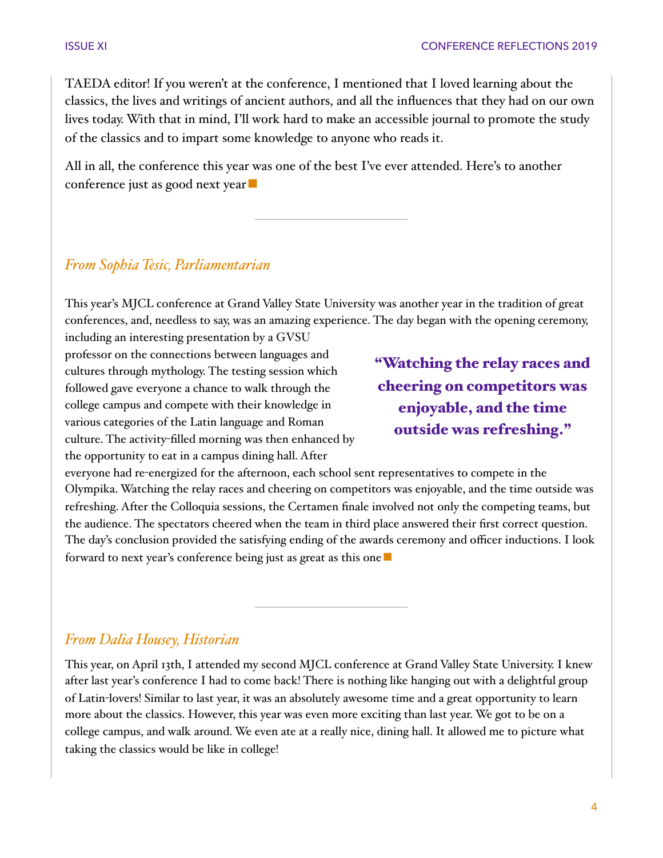TAEDA editor! If you weren't at the conference, I mentioned that I loved learning about the classics, the lives and writings of ancient authors, and all the influences that they had on our own lives today. With that in mind, I'll work hard to make an accessible journal to promote the study of the classics and to impart some knowledge to anyone who reads it.

All in all, the conference this year was one of the best I've ever attended. Here's to another conference just as good next year $\blacksquare$ 

#### *From Sophia Tesic, Parliamentarian*

This year's MJCL conference at Grand Valley State University was another year in the tradition of great conferences, and, needless to say, was an amazing experience. The day began with the opening ceremony,

including an interesting presentation by a GVSU professor on the connections between languages and cultures through mythology. The testing session which followed gave everyone a chance to walk through the college campus and compete with their knowledge in various categories of the Latin language and Roman culture. The activity-filled morning was then enhanced by the opportunity to eat in a campus dining hall. After

"Watching the relay races and cheering on competitors was enjoyable, and the time outside was refreshing."

everyone had re-energized for the afternoon, each school sent representatives to compete in the Olympika. Watching the relay races and cheering on competitors was enjoyable, and the time outside was refreshing. After the Colloquia sessions, the Certamen finale involved not only the competing teams, but the audience. The spectators cheered when the team in third place answered their first correct question. The day's conclusion provided the satisfying ending of the awards ceremony and officer inductions. I look forward to next year's conference being just as great as this one ■

#### *From Dalia Housey, Historian*

This year, on April 13th, I attended my second MJCL conference at Grand Valley State University. I knew after last year's conference I had to come back! There is nothing like hanging out with a delightful group of Latin-lovers! Similar to last year, it was an absolutely awesome time and a great opportunity to learn more about the classics. However, this year was even more exciting than last year. We got to be on a college campus, and walk around. We even ate at a really nice, dining hall. It allowed me to picture what taking the classics would be like in college!